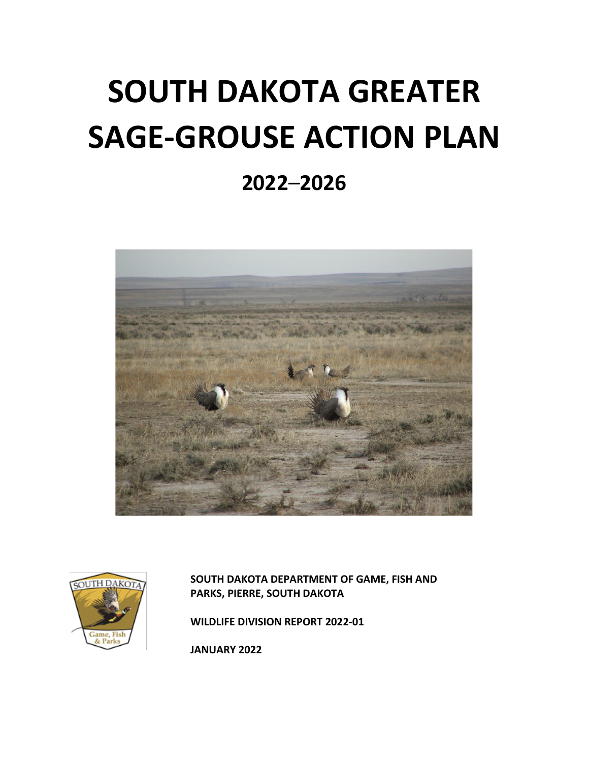# **SOUTH DAKOTA GREATER SAGE-GROUSE ACTION PLAN**

# **2022**–**2026**





**SOUTH DAKOTA DEPARTMENT OF GAME, FISH AND PARKS, PIERRE, SOUTH DAKOTA**

**WILDLIFE DIVISION REPORT 2022-01**

**JANUARY 2022**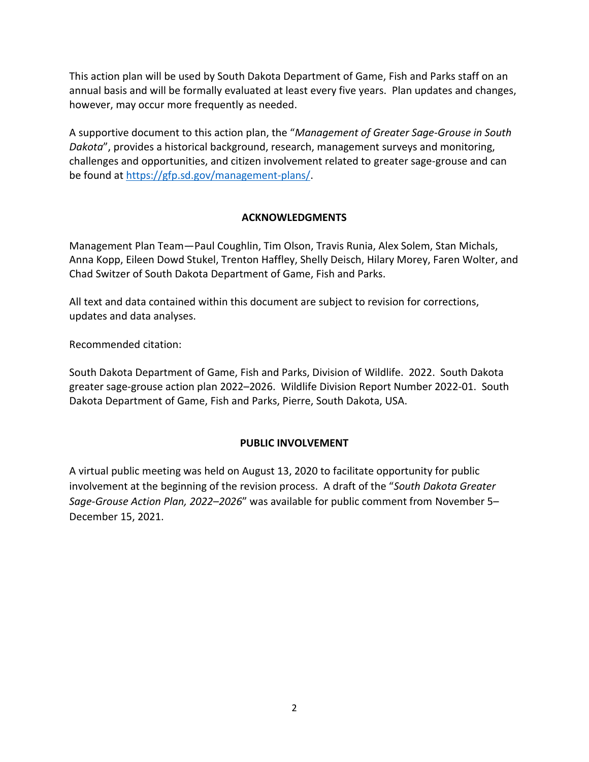This action plan will be used by South Dakota Department of Game, Fish and Parks staff on an annual basis and will be formally evaluated at least every five years. Plan updates and changes, however, may occur more frequently as needed.

A supportive document to this action plan, the "*Management of Greater Sage-Grouse in South Dakota*", provides a historical background, research, management surveys and monitoring, challenges and opportunities, and citizen involvement related to greater sage-grouse and can be found at [https://gfp.sd.gov/management-plans/.](https://gfp.sd.gov/management-plans/)

# **ACKNOWLEDGMENTS**

Management Plan Team—Paul Coughlin, Tim Olson, Travis Runia, Alex Solem, Stan Michals, Anna Kopp, Eileen Dowd Stukel, Trenton Haffley, Shelly Deisch, Hilary Morey, Faren Wolter, and Chad Switzer of South Dakota Department of Game, Fish and Parks.

All text and data contained within this document are subject to revision for corrections, updates and data analyses.

Recommended citation:

South Dakota Department of Game, Fish and Parks, Division of Wildlife. 2022. South Dakota greater sage-grouse action plan 2022–2026. Wildlife Division Report Number 2022-01. South Dakota Department of Game, Fish and Parks, Pierre, South Dakota, USA.

## **PUBLIC INVOLVEMENT**

A virtual public meeting was held on August 13, 2020 to facilitate opportunity for public involvement at the beginning of the revision process. A draft of the "*South Dakota Greater Sage-Grouse Action Plan, 2022–2026*" was available for public comment from November 5– December 15, 2021.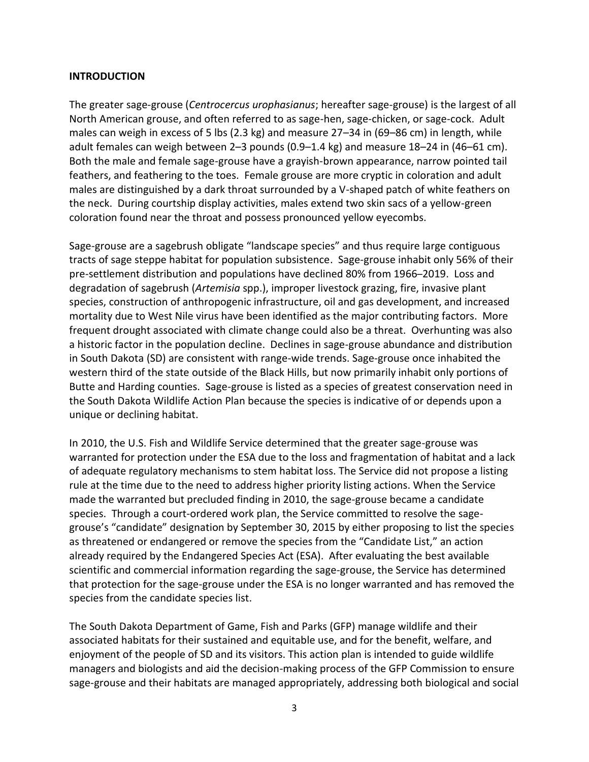#### **INTRODUCTION**

The greater sage-grouse (*Centrocercus urophasianus*; hereafter sage-grouse) is the largest of all North American grouse, and often referred to as sage-hen, sage-chicken, or sage-cock. Adult males can weigh in excess of 5 lbs (2.3 kg) and measure 27–34 in (69–86 cm) in length, while adult females can weigh between 2–3 pounds (0.9–1.4 kg) and measure 18–24 in (46–61 cm). Both the male and female sage-grouse have a grayish-brown appearance, narrow pointed tail feathers, and feathering to the toes. Female grouse are more cryptic in coloration and adult males are distinguished by a dark throat surrounded by a V-shaped patch of white feathers on the neck. During courtship display activities, males extend two skin sacs of a yellow-green coloration found near the throat and possess pronounced yellow eyecombs.

Sage-grouse are a sagebrush obligate "landscape species" and thus require large contiguous tracts of sage steppe habitat for population subsistence. Sage-grouse inhabit only 56% of their pre-settlement distribution and populations have declined 80% from 1966–2019. Loss and degradation of sagebrush (*Artemisia* spp.), improper livestock grazing, fire, invasive plant species, construction of anthropogenic infrastructure, oil and gas development, and increased mortality due to West Nile virus have been identified as the major contributing factors. More frequent drought associated with climate change could also be a threat. Overhunting was also a historic factor in the population decline. Declines in sage-grouse abundance and distribution in South Dakota (SD) are consistent with range-wide trends. Sage-grouse once inhabited the western third of the state outside of the Black Hills, but now primarily inhabit only portions of Butte and Harding counties. Sage-grouse is listed as a species of greatest conservation need in the South Dakota Wildlife Action Plan because the species is indicative of or depends upon a unique or declining habitat.

In 2010, the U.S. Fish and Wildlife Service determined that the greater sage-grouse was warranted for protection under the ESA due to the loss and fragmentation of habitat and a lack of adequate regulatory mechanisms to stem habitat loss. The Service did not propose a listing rule at the time due to the need to address higher priority listing actions. When the Service made the warranted but precluded finding in 2010, the sage-grouse became a candidate species. Through a court-ordered work plan, the Service committed to resolve the sagegrouse's "candidate" designation by September 30, 2015 by either proposing to list the species as threatened or endangered or remove the species from the "Candidate List," an action already required by the Endangered Species Act (ESA). After evaluating the best available scientific and commercial information regarding the sage-grouse, the Service has determined that protection for the sage-grouse under the ESA is no longer warranted and has removed the species from the candidate species list.

The South Dakota Department of Game, Fish and Parks (GFP) manage wildlife and their associated habitats for their sustained and equitable use, and for the benefit, welfare, and enjoyment of the people of SD and its visitors. This action plan is intended to guide wildlife managers and biologists and aid the decision-making process of the GFP Commission to ensure sage-grouse and their habitats are managed appropriately, addressing both biological and social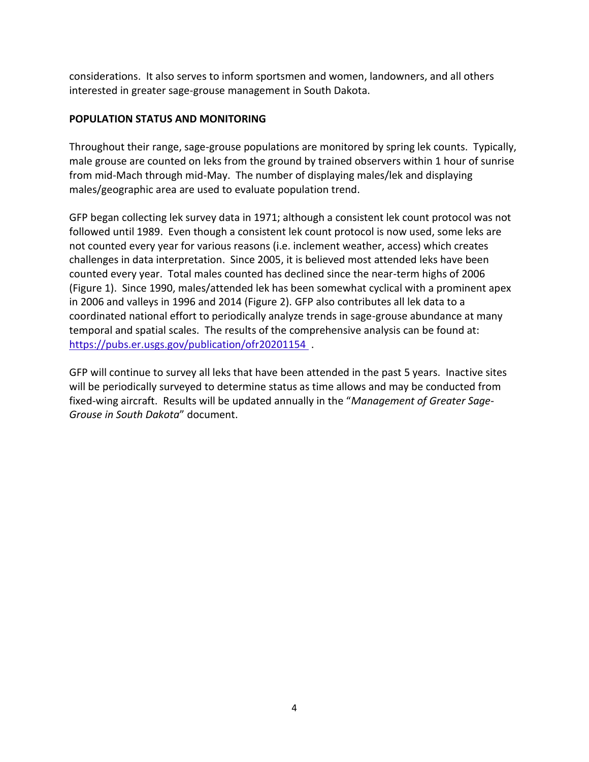considerations. It also serves to inform sportsmen and women, landowners, and all others interested in greater sage-grouse management in South Dakota.

# **POPULATION STATUS AND MONITORING**

Throughout their range, sage-grouse populations are monitored by spring lek counts. Typically, male grouse are counted on leks from the ground by trained observers within 1 hour of sunrise from mid-Mach through mid-May. The number of displaying males/lek and displaying males/geographic area are used to evaluate population trend.

GFP began collecting lek survey data in 1971; although a consistent lek count protocol was not followed until 1989. Even though a consistent lek count protocol is now used, some leks are not counted every year for various reasons (i.e. inclement weather, access) which creates challenges in data interpretation. Since 2005, it is believed most attended leks have been counted every year. Total males counted has declined since the near-term highs of 2006 (Figure 1). Since 1990, males/attended lek has been somewhat cyclical with a prominent apex in 2006 and valleys in 1996 and 2014 (Figure 2). GFP also contributes all lek data to a coordinated national effort to periodically analyze trends in sage-grouse abundance at many temporal and spatial scales. The results of the comprehensive analysis can be found at: <https://pubs.er.usgs.gov/publication/ofr20201154> .

GFP will continue to survey all leks that have been attended in the past 5 years. Inactive sites will be periodically surveyed to determine status as time allows and may be conducted from fixed-wing aircraft. Results will be updated annually in the "*Management of Greater Sage-Grouse in South Dakota*" document.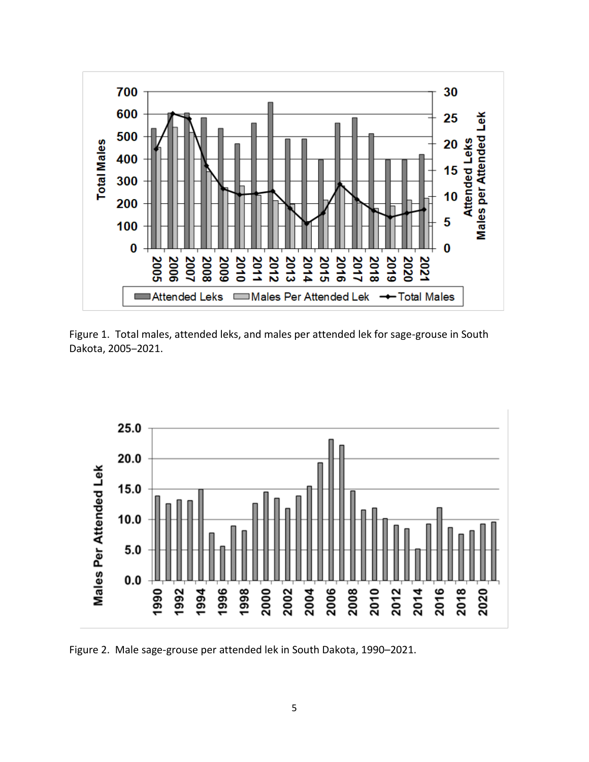

Figure 1. Total males, attended leks, and males per attended lek for sage-grouse in South Dakota, 2005–2021.



Figure 2. Male sage-grouse per attended lek in South Dakota, 1990–2021.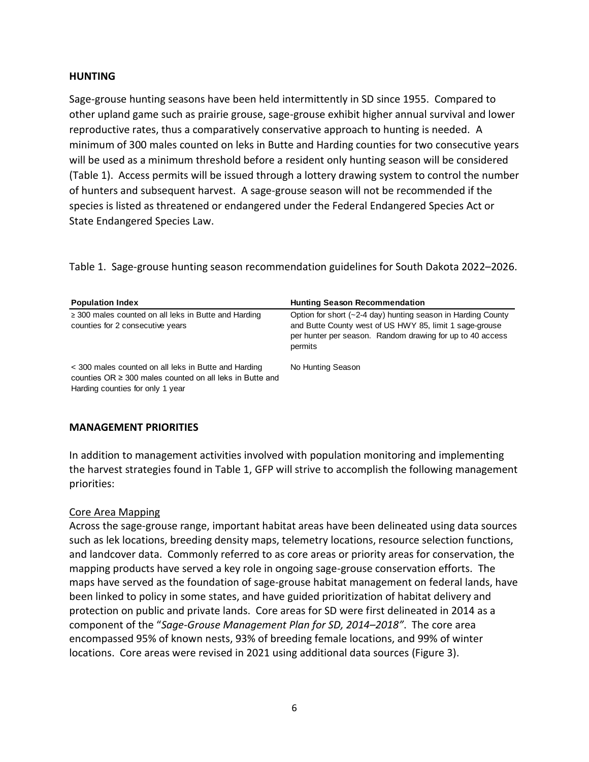#### **HUNTING**

Sage-grouse hunting seasons have been held intermittently in SD since 1955. Compared to other upland game such as prairie grouse, sage-grouse exhibit higher annual survival and lower reproductive rates, thus a comparatively conservative approach to hunting is needed. A minimum of 300 males counted on leks in Butte and Harding counties for two consecutive years will be used as a minimum threshold before a resident only hunting season will be considered (Table 1). Access permits will be issued through a lottery drawing system to control the number of hunters and subsequent harvest. A sage-grouse season will not be recommended if the species is listed as threatened or endangered under the Federal Endangered Species Act or State Endangered Species Law.

Table 1. Sage-grouse hunting season recommendation guidelines for South Dakota 2022–2026.

| <b>Population Index</b>                                                                                                                                   | <b>Hunting Season Recommendation</b>                                                                                                                                                            |
|-----------------------------------------------------------------------------------------------------------------------------------------------------------|-------------------------------------------------------------------------------------------------------------------------------------------------------------------------------------------------|
| $\geq$ 300 males counted on all leks in Butte and Harding<br>counties for 2 consecutive years                                                             | Option for short (~2-4 day) hunting season in Harding County<br>and Butte County west of US HWY 85, limit 1 sage-grouse<br>per hunter per season. Random drawing for up to 40 access<br>permits |
| < 300 males counted on all leks in Butte and Harding<br>counties $OR \geq 300$ males counted on all leks in Butte and<br>Harding counties for only 1 year | No Hunting Season                                                                                                                                                                               |

#### **MANAGEMENT PRIORITIES**

In addition to management activities involved with population monitoring and implementing the harvest strategies found in Table 1, GFP will strive to accomplish the following management priorities:

## Core Area Mapping

Across the sage-grouse range, important habitat areas have been delineated using data sources such as lek locations, breeding density maps, telemetry locations, resource selection functions, and landcover data. Commonly referred to as core areas or priority areas for conservation, the mapping products have served a key role in ongoing sage-grouse conservation efforts. The maps have served as the foundation of sage-grouse habitat management on federal lands, have been linked to policy in some states, and have guided prioritization of habitat delivery and protection on public and private lands. Core areas for SD were first delineated in 2014 as a component of the "*Sage-Grouse Management Plan for SD, 2014–2018"*. The core area encompassed 95% of known nests, 93% of breeding female locations, and 99% of winter locations. Core areas were revised in 2021 using additional data sources (Figure 3).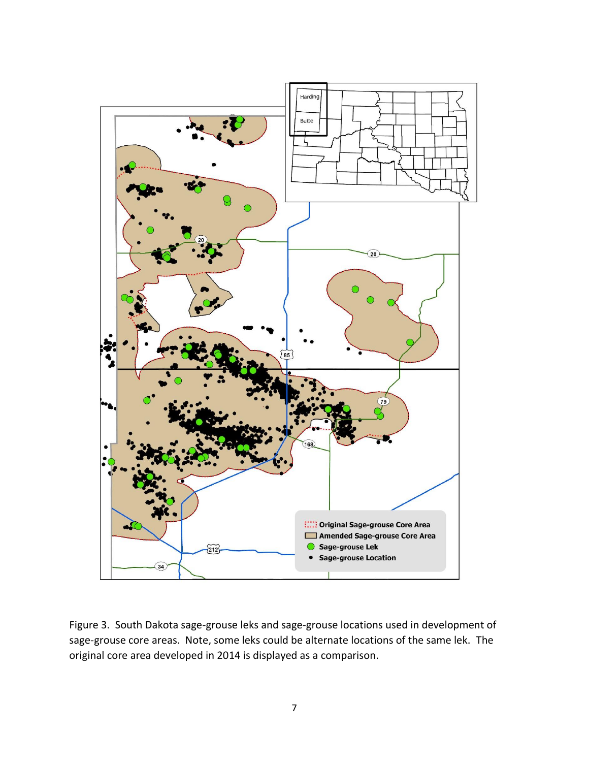

Figure 3. South Dakota sage-grouse leks and sage-grouse locations used in development of sage-grouse core areas. Note, some leks could be alternate locations of the same lek. The original core area developed in 2014 is displayed as a comparison.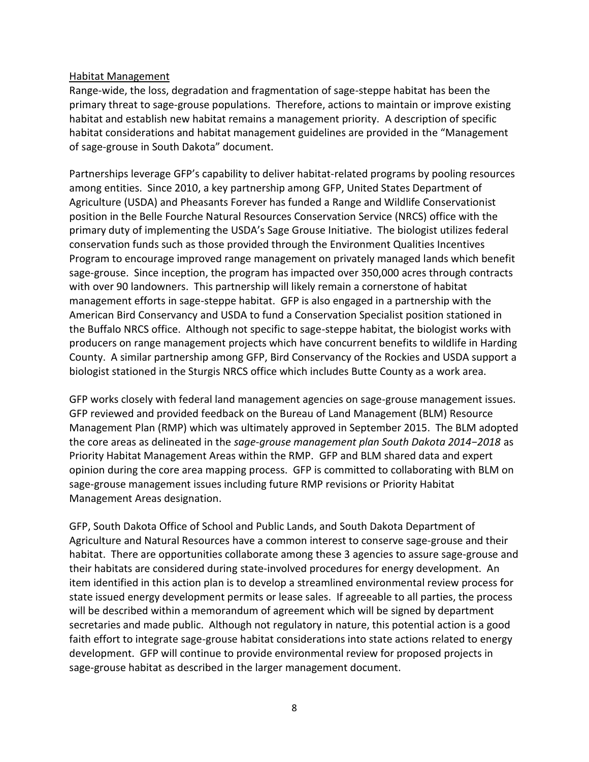#### Habitat Management

Range-wide, the loss, degradation and fragmentation of sage-steppe habitat has been the primary threat to sage-grouse populations. Therefore, actions to maintain or improve existing habitat and establish new habitat remains a management priority. A description of specific habitat considerations and habitat management guidelines are provided in the "Management of sage-grouse in South Dakota" document.

Partnerships leverage GFP's capability to deliver habitat-related programs by pooling resources among entities. Since 2010, a key partnership among GFP, United States Department of Agriculture (USDA) and Pheasants Forever has funded a Range and Wildlife Conservationist position in the Belle Fourche Natural Resources Conservation Service (NRCS) office with the primary duty of implementing the USDA's Sage Grouse Initiative. The biologist utilizes federal conservation funds such as those provided through the Environment Qualities Incentives Program to encourage improved range management on privately managed lands which benefit sage-grouse. Since inception, the program has impacted over 350,000 acres through contracts with over 90 landowners. This partnership will likely remain a cornerstone of habitat management efforts in sage-steppe habitat. GFP is also engaged in a partnership with the American Bird Conservancy and USDA to fund a Conservation Specialist position stationed in the Buffalo NRCS office. Although not specific to sage-steppe habitat, the biologist works with producers on range management projects which have concurrent benefits to wildlife in Harding County. A similar partnership among GFP, Bird Conservancy of the Rockies and USDA support a biologist stationed in the Sturgis NRCS office which includes Butte County as a work area.

GFP works closely with federal land management agencies on sage-grouse management issues. GFP reviewed and provided feedback on the Bureau of Land Management (BLM) Resource Management Plan (RMP) which was ultimately approved in September 2015. The BLM adopted the core areas as delineated in the *sage-grouse management plan South Dakota 2014−2018* as Priority Habitat Management Areas within the RMP. GFP and BLM shared data and expert opinion during the core area mapping process. GFP is committed to collaborating with BLM on sage-grouse management issues including future RMP revisions or Priority Habitat Management Areas designation.

GFP, South Dakota Office of School and Public Lands, and South Dakota Department of Agriculture and Natural Resources have a common interest to conserve sage-grouse and their habitat. There are opportunities collaborate among these 3 agencies to assure sage-grouse and their habitats are considered during state-involved procedures for energy development. An item identified in this action plan is to develop a streamlined environmental review process for state issued energy development permits or lease sales. If agreeable to all parties, the process will be described within a memorandum of agreement which will be signed by department secretaries and made public. Although not regulatory in nature, this potential action is a good faith effort to integrate sage-grouse habitat considerations into state actions related to energy development. GFP will continue to provide environmental review for proposed projects in sage-grouse habitat as described in the larger management document.